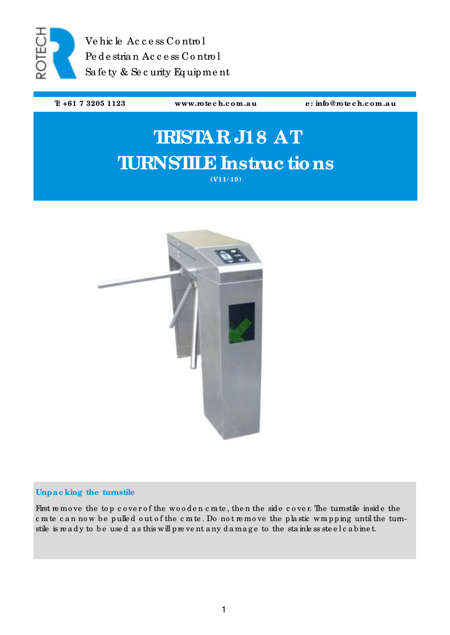

Ve hic le Ac c e ss Co ntro l Pe de stria n Ac c e ss C o ntro l Sa fe ty & Se c urity Eq uipme nt

**T: +61 7 3205 1123 www.rote c h.c om.a u e : info@rote c h.c om.a u**

# **TRISTAR J18 AT TURNSTILE Instruc tions (V11/ 19)**

# **Unpa c king the turnstile**

First remove the top cover of the wooden crate, then the side cover. The turnstile inside the c rate c an now be pulled out of the c rate. Do not remove the plastic wrapping until the turnstile is ready to be used as this will prevent any damage to the stainless steel cabinet.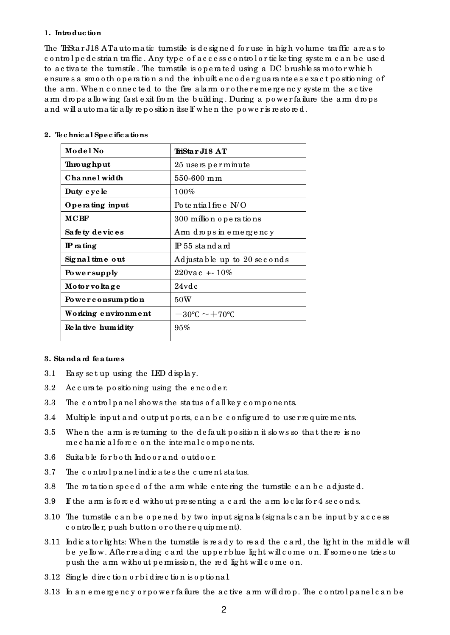#### **1. Introduc tion**

The TriSta r J18 AT a uto matic turnstile is designed for use in high volume traffic are as to c o ntro l p e de stria n tra ffic . Any typ e o f a c c e ss c o ntro l o r tic ke ting syste m c a n b e use d to a c tiva te the turnstile . The turnstile is o p e ra te d using a DC b rushle ss mo to r whic h e nsure s a smo o th o p e ra tio n a nd the inb uilt e nc o d e r g ua ra nte e s e xa c t p o sitio ning o f the a rm. When c o nne c ted to the fire a larm or o the r e me rg e nc y system the active a rm d ro ps a llo wing fast e xit from the building. During a power failure the a rm d ro ps and will automatic ally reposition itself when the power is restored.

| Model No              | TriSta r J18 AT                        |  |
|-----------------------|----------------------------------------|--|
| Throughput            | 25 users perminute                     |  |
| Channel width         | $550 - 600$ mm                         |  |
| Duty cycle            | $100\%$                                |  |
| Operating input       | Po tential free $N/O$                  |  |
| <b>MCBF</b>           | 300 million operations                 |  |
| Sa fe ty de vices     | Arm drops in emergency                 |  |
| $IP$ rating           | $IP 55$ stand and                      |  |
| Signal time out       | Adjustable up to 20 seconds            |  |
| Powersupply           | $220$ vac + -10%                       |  |
| Motorvoltage          | $24$ vd c                              |  |
| Powerconsumption      | 50W                                    |  |
| Working environment   | $-30^{\circ}$ C $\sim$ $+70^{\circ}$ C |  |
| Re la tive hum id ity | 95%                                    |  |

#### **2. Te c hnic a l Spe c ific a tions**

## **3. Sta nda rd fe ature s**

- 3.1 Ea sy se t up using the LED d isp la y.
- 3.2 Ac c ura te positioning using the encoder.
- 3.3 The control panel shows the status of all key components.
- 3.4 Multiple input and output ports, can be configured to use r requirements.
- 3.5 When the arm is returning to the default position it slows so that there is no me c ha nic a l force on the internal components.
- 3.6 Suita b le fo r b o th Ind o o r a nd o utd o o r.
- 3.7 The c o ntro l p a ne l ind ic a te s the c urre nt sta tus.
- 3.8 The rotation speed of the arm while entering the turnstile can be adjusted.
- 3.9 If the a rm is forced without presenting a c and the a rm locks for  $4 \text{ sec}$  onds.
- 3.10 The turnstile can be opened by two input signals (signals can be input by access c o ntro lle r, p ush b utto n o r o the re q uip me nt).
- 3.11 Indicator lights: When the turnstile is ready to read the c ard, the light in the middle will b e ye llo w. Afte r re a d ing c a rd the upp e r b lue lig ht will c o me o n. If so me o ne trie s to p ush the a rm without pe rmission, the red light will come on.
- 3.12 Sing le d ire c tio n o r b i d ire c tio n is o p tio na l.
- 3.13 In an emergency or power failure the active arm will drop. The control panel can be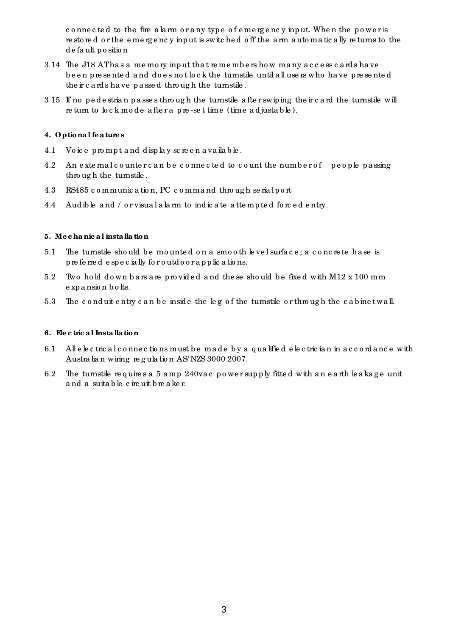c o nne c te d to the fire a la rm o r a ny typ e o f e me rg e nc y inp ut. Whe n the p o we r is re sto red or the emergency input is switched off the arm automatically returns to the d e fa ult p o sitio n

- 3.14 The J18 AT has a memory input that remembers how many access cards have b e e n pre se nte d a nd do e s no t lo c k the turnstile until a ll use rs who ha ve p re se nte d the ir c a rd s ha ve p a sse d thro ug h the turnstile .
- 3.15 If no pedestrian passes through the turnstile after swiping the ircard the turnstile will re turn to  $\operatorname{bc}$  k mode after a p re-set time (time adjustable).

## **4. Optiona l fe a ture s**

- 4.1 Vo ic e pro mp t a nd d isp la y sc re e n a va ila b le .
- 4.2 An external counter can be connected to count the number of people passing through the turnstile.
- 4.3 RS485 c o mmunic a tio n, PC c o mma nd thro ug h se ria lp o rt
- 4.4 Aud ible and / or visual alarm to indicate attempted forced entry.

#### **5. Me c ha nic a l insta lla tion**

- 5.1 The turnstile should be mounted on a smooth level surface; a concrete base is p re fe rre d e spe c ia lly fo r o utd o o ra p p lic a tio ns.
- 5.2 Two hold down bars are provided and the se should be fixed with M12 x 100 mm e xp a nsio n b o lts.
- 5.3 The conduit entry can be inside the leg of the turnstile or through the cabinetwall.

#### **6. Ele c tric a l Insta llation**

- 6.1 All e le c tric a l c o nne c tio ns must b e ma de b y a q ua lifie d e le c tric ia n in a c c o rd a nc e with Austra lia n wiring re g ula tio n AS/ NZS 3000 2007.
- 6.2 The turnstile requires a 5 amp 240 vac power supply fitted with an earth leakage unit a nd a suita b le c irc uit b re a ke r.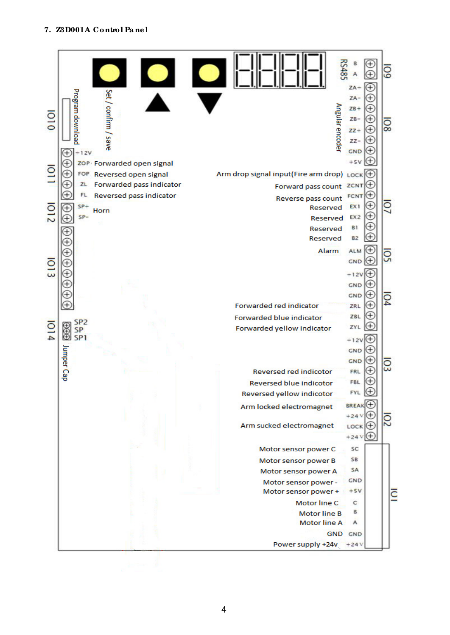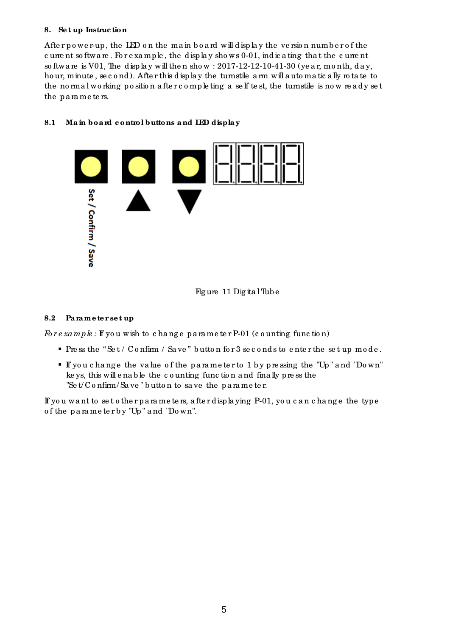## **8. Se t up Instruc tion**

After power-up, the LED on the main board will display the version number of the c urre nt so ftwa re. For example, the display shows 0-01, indicating that the current so ftwa re is V01, The d isp lay will then show :  $2017-12-12-10-41-30$  (year, month, day, ho ur, minute, se c o nd). After this display the turnstile a rm will automatic ally rotate to the normal working position after completing a self test, the turnstile is now ready set the parameters.

## **8.1 Ma in boa rd c ontrol buttons a nd LED displa y**



Fig ure 11 Dig ita l Tub e

## **8.2 Pa rame te r se t up**

*Fore xample*: If you wish to change parameter P-01 (counting function)

- Pre ss the "Set / Confirm / Save" button for 3 seconds to enter the set up mode.
- If yo u c ha ng e the va lue o f the pa ra me te r to 1 b y pre ssing the "Up " a nd "Do wn" ke ys, this will enable the counting function and finally press the "Se  $t/C$  o nfirm/Sa ve" butto n to save the p a rame ter.

If yo u wa nt to se t o the r p a ra me te rs, a fte r d isp la ying P-01, yo u c a n c ha ng e the type o f the pa ra me te r b y "Up " a nd "Do wn".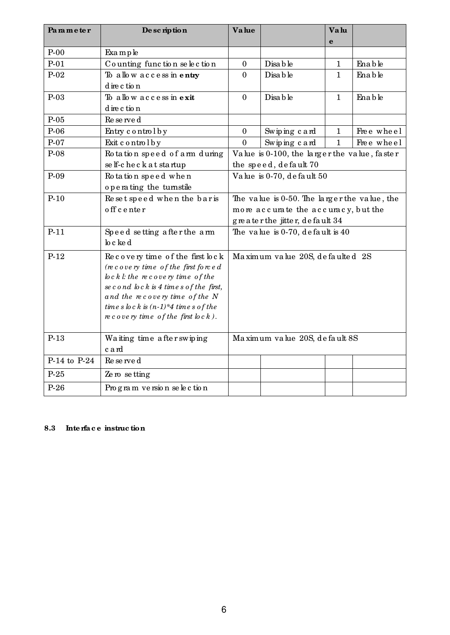| Parameter    | De scription                                                        | <b>Value</b>                                                          |                                     | Valu         |            |
|--------------|---------------------------------------------------------------------|-----------------------------------------------------------------------|-------------------------------------|--------------|------------|
|              |                                                                     |                                                                       |                                     | $\mathbf e$  |            |
| $P-00$       | Example                                                             |                                                                       |                                     |              |            |
| $P-01$       | Counting function selection                                         | $\boldsymbol{0}$                                                      | Disa b le                           | 1            | Enable     |
| $P-02$       | To allow access in entry                                            | $\mathbf{0}$                                                          | Disa b le                           | $\mathbf{1}$ | Enable     |
|              | d ire c tion                                                        |                                                                       |                                     |              |            |
| $P-03$       | To allow access in exit                                             | $\mathbf{0}$                                                          | Disa b le                           | $\mathbf{1}$ | Enable     |
|              | d ire c tion                                                        |                                                                       |                                     |              |            |
| $P-05$       | Re se rve d                                                         |                                                                       |                                     |              |            |
| $P-06$       | Entry control by                                                    | $\boldsymbol{0}$                                                      | Swiping card                        | 1            | Free wheel |
| $P-07$       | Exit control by                                                     | $\mathbf{0}$                                                          | Swiping card                        | $\mathbf{1}$ | Free wheel |
| $P-08$       | Rotation speed of arm during                                        | Value is 0-100, the larger the value, faster<br>the speed, default 70 |                                     |              |            |
|              | se lf-c he c k a t startup                                          |                                                                       |                                     |              |            |
| $P-09$       | Rotation speed when                                                 | Value is 0-70, default 50                                             |                                     |              |            |
|              | operating the turnstile                                             |                                                                       |                                     |              |            |
| $P-10$       | Resetspeed when the baris                                           | The value is 0-50. The larger the value, the                          |                                     |              |            |
|              | off center                                                          |                                                                       | more accurate the accuracy, but the |              |            |
|              |                                                                     |                                                                       | greater the jitter, default 34      |              |            |
| $P-11$       | Speed setting after the arm                                         | The value is $0-70$ , default is $40$                                 |                                     |              |            |
|              | lo c ke d                                                           |                                                                       |                                     |              |            |
| $P-12$       | Recovery time of the first lock                                     | Maximum value 20S, defaulted 2S                                       |                                     |              |            |
|              | $(re \, cover \, y \, time \, of \, the \, first \, for \, e \, d)$ |                                                                       |                                     |              |            |
|              | $bc\ k\ l$ : the recovery time of the                               |                                                                       |                                     |              |            |
|              | se cond $bc k$ is 4 time s of the first,                            |                                                                       |                                     |              |            |
|              | and the recovery time of the N                                      |                                                                       |                                     |              |            |
|              | time s $bc k$ is $(n-1)*4$ time s of the                            |                                                                       |                                     |              |            |
|              | $ne \, c \, o \, v \, e \, r$ ry time of the first $\ln c \, k$ ).  |                                                                       |                                     |              |            |
| $P-13$       | Waiting time after swiping                                          | Maximum value 20S, default 8S                                         |                                     |              |            |
|              | card                                                                |                                                                       |                                     |              |            |
| P-14 to P-24 | Re served                                                           |                                                                       |                                     |              |            |
| $P-25$       | Ze ro se tting                                                      |                                                                       |                                     |              |            |
| $P-26$       | Program version selection                                           |                                                                       |                                     |              |            |

# **8.3 Inte rfa c e instruc tion**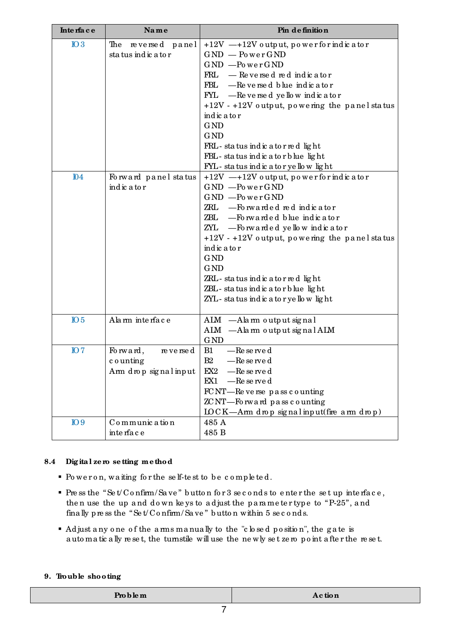| Interface       | Name                                                        | Pin de finition                                                                                                                                                                                                                                                                                                                                                                                            |
|-----------------|-------------------------------------------------------------|------------------------------------------------------------------------------------------------------------------------------------------------------------------------------------------------------------------------------------------------------------------------------------------------------------------------------------------------------------------------------------------------------------|
| $IO$ 3          | The<br>reversed panel<br>status indicator                   | $+12V$ -+12V output, power for indicator<br>$GND$ - Power $GND$<br>$GND$ -PowerGND<br>$FRL$ - Reversed red indicator<br>-Reversed blue indicator<br>FBL<br>$\text{FYL}$ -Reversed yellow indicator<br>$+12V - +12V$ output, powering the panel status<br>indic a to r<br><b>GND</b><br><b>GND</b><br>FRL-status indicator red light<br>FBL-status indicator blue light<br>FYL-status indicatoryellow light |
| $I\!\!D4$       | Forward panel status<br>indic a to r                        | $+12V$ -+12V output, power for indicator<br>$GND$ -PowerGND<br>$GND$ -Power $GND$<br>$ZRL$ -Forwarded red indicator<br>ZBL - Forwarded blue indicator<br>ZYL - Forwarded yellow indicator<br>$+12V - +12V$ output, powering the panel status<br>indic a to r<br><b>GND</b><br><b>GND</b><br>ZRL-status indicator red light<br>ZBL-status indicatorblue light<br>ZYL-status indicatoryellow light           |
| IO <sub>5</sub> | Alam interface                                              | ALM -Alarm output signal<br>ALM -Alarm output signal ALM<br><b>GND</b>                                                                                                                                                                                                                                                                                                                                     |
| IO7             | Forward,<br>re verse d<br>counting<br>Arm drop signal input | B1<br>-Re se rve d<br>B2<br>-Reserved<br>EX2<br>—Re se rve d<br>$-$ Re se rve d<br>EX1<br>$FCNT$ —Re verse pass counting<br>ZCNT-Forward pass counting<br>$LOCK—Arm drop signal input (fine arm drop)$                                                                                                                                                                                                     |
| IO9             | Communication<br>inte rfa c e                               | 485 A<br>485 B                                                                                                                                                                                                                                                                                                                                                                                             |

# **8.4 Dig ita l ze ro se tting me thod**

- Po we r o n, wa iting fo r the se lf-te st to b e c o mp le te d.
- Pre ss the "Set/Confirm/Save" button for 3 seconds to enter the set up interface, then use the up and down keys to adjust the parameter type to "P-25", and fina lly press the "Set/Confirm/Save" button within 5 seconds.
- Ad just a ny o ne o f the a rms ma nua lly to the "c lo se d p o sitio n", the g a te is a uto ma tic a lly re se t, the turnstile will use the ne wly se t ze ro p o int a fte r the re se t.

### **9. Trouble shooting**

| <b>Pro b le m</b> | Action  |
|-------------------|---------|
| ________          | _______ |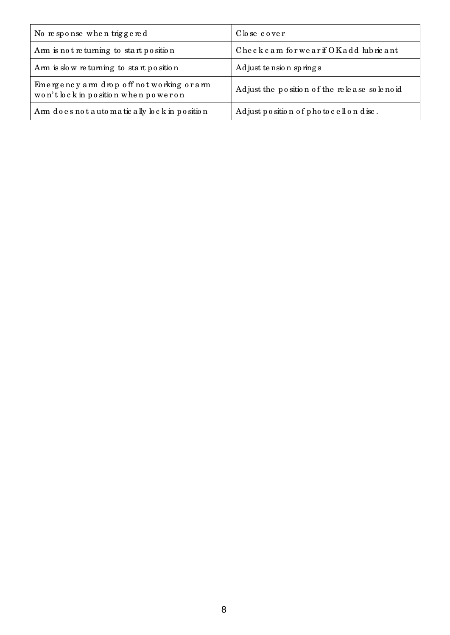| No response when triggered                                                       | Close cover                                 |  |
|----------------------------------------------------------------------------------|---------------------------------------------|--|
| Arm is not returning to start position                                           | Checkcam forwearif OKadd lubricant          |  |
| Arm is slow returning to start position                                          | Adjust tension springs                      |  |
| Emergency arm drop off not working or arm<br>won't lock in position when poweron | Adjust the position of the release solenoid |  |
| Arm does not a utomatic ally lock in position                                    | Adjust position of photocellondisc.         |  |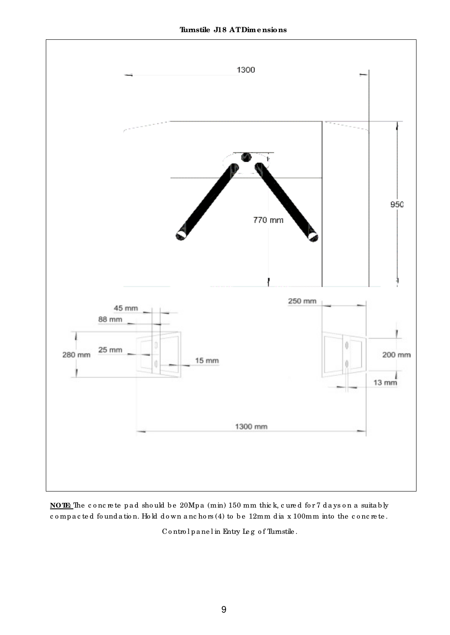

NOTE The concrete pad should be 20Mpa (min) 150 mm thick, cured for 7 days on a suitably compacted foundation. Hold down anchors (4) to be 12mm dia x 100mm into the concrete.

Controlpanel in Entry Leg of Turnstile.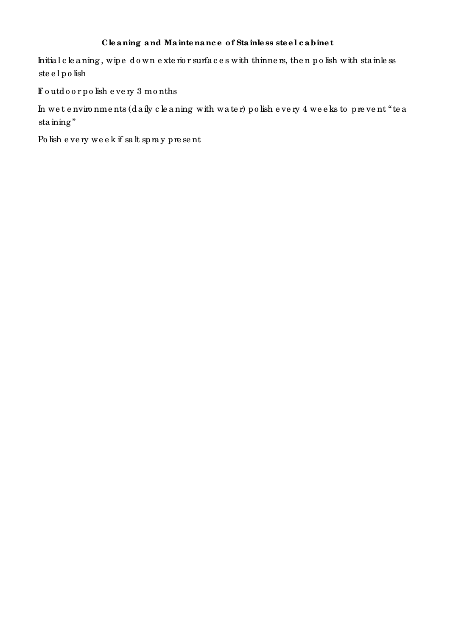# Cleaning and Maintenance of Stainless steel cabinet

Initial cleaning, wipe down exterior surfaces with thinners, then polish with stainless steelpolish

If outdoor polish every 3 months

In wet environments (daily cleaning with water) polish every 4 weeks to prevent "tea  $\,\mathrm{sta}\,\mathrm{ming}\,$  "

Polish every week if salt spray present